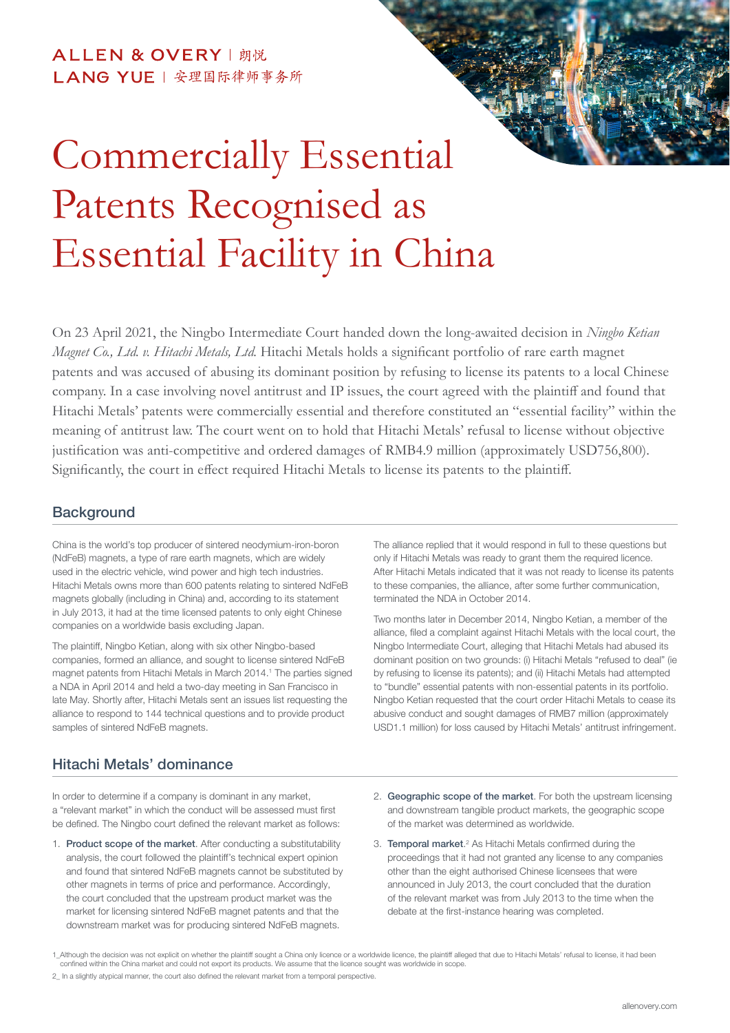## ALLEN & OVERY | 朗悦 LANG YUE | 安理国际律师事务所



On 23 April 2021, the Ningbo Intermediate Court handed down the long-awaited decision in *Ningbo Ketian Magnet Co., Ltd. v. Hitachi Metals, Ltd.* Hitachi Metals holds a significant portfolio of rare earth magnet patents and was accused of abusing its dominant position by refusing to license its patents to a local Chinese company. In a case involving novel antitrust and IP issues, the court agreed with the plaintiff and found that Hitachi Metals' patents were commercially essential and therefore constituted an "essential facility" within the meaning of antitrust law. The court went on to hold that Hitachi Metals' refusal to license without objective justification was anti-competitive and ordered damages of RMB4.9 million (approximately USD756,800). Significantly, the court in effect required Hitachi Metals to license its patents to the plaintiff.

#### **Background**

China is the world's top producer of sintered neodymium-iron-boron (NdFeB) magnets, a type of rare earth magnets, which are widely used in the electric vehicle, wind power and high tech industries. Hitachi Metals owns more than 600 patents relating to sintered NdFeB magnets globally (including in China) and, according to its statement in July 2013, it had at the time licensed patents to only eight Chinese companies on a worldwide basis excluding Japan.

The plaintiff, Ningbo Ketian, along with six other Ningbo-based companies, formed an alliance, and sought to license sintered NdFeB magnet patents from Hitachi Metals in March 2014.<sup>1</sup> The parties signed a NDA in April 2014 and held a two-day meeting in San Francisco in late May. Shortly after, Hitachi Metals sent an issues list requesting the alliance to respond to 144 technical questions and to provide product samples of sintered NdFeB magnets.

### Hitachi Metals' dominance

In order to determine if a company is dominant in any market, a "relevant market" in which the conduct will be assessed must first be defined. The Ningbo court defined the relevant market as follows:

1. Product scope of the market. After conducting a substitutability analysis, the court followed the plaintiff's technical expert opinion and found that sintered NdFeB magnets cannot be substituted by other magnets in terms of price and performance. Accordingly, the court concluded that the upstream product market was the market for licensing sintered NdFeB magnet patents and that the downstream market was for producing sintered NdFeB magnets.

The alliance replied that it would respond in full to these questions but only if Hitachi Metals was ready to grant them the required licence. After Hitachi Metals indicated that it was not ready to license its patents to these companies, the alliance, after some further communication, terminated the NDA in October 2014.

Two months later in December 2014, Ningbo Ketian, a member of the alliance, filed a complaint against Hitachi Metals with the local court, the Ningbo Intermediate Court, alleging that Hitachi Metals had abused its dominant position on two grounds: (i) Hitachi Metals "refused to deal" (ie by refusing to license its patents); and (ii) Hitachi Metals had attempted to "bundle" essential patents with non-essential patents in its portfolio. Ningbo Ketian requested that the court order Hitachi Metals to cease its abusive conduct and sought damages of RMB7 million (approximately USD1.1 million) for loss caused by Hitachi Metals' antitrust infringement.

- 2. Geographic scope of the market. For both the upstream licensing and downstream tangible product markets, the geographic scope of the market was determined as worldwide.
- 3. Temporal market.<sup>2</sup> As Hitachi Metals confirmed during the proceedings that it had not granted any license to any companies other than the eight authorised Chinese licensees that were announced in July 2013, the court concluded that the duration of the relevant market was from July 2013 to the time when the debate at the first-instance hearing was completed.

2\_ In a slightly atypical manner, the court also defined the relevant market from a temporal perspective.

<sup>1</sup>\_Although the decision was not explicit on whether the plaintiff sought a China only licence or a worldwide licence, the plaintiff alleged that due to Hitachi Metals' refusal to license, it had been confined within the China market and could not export its products. We assume that the licence sought was worldwide in scope.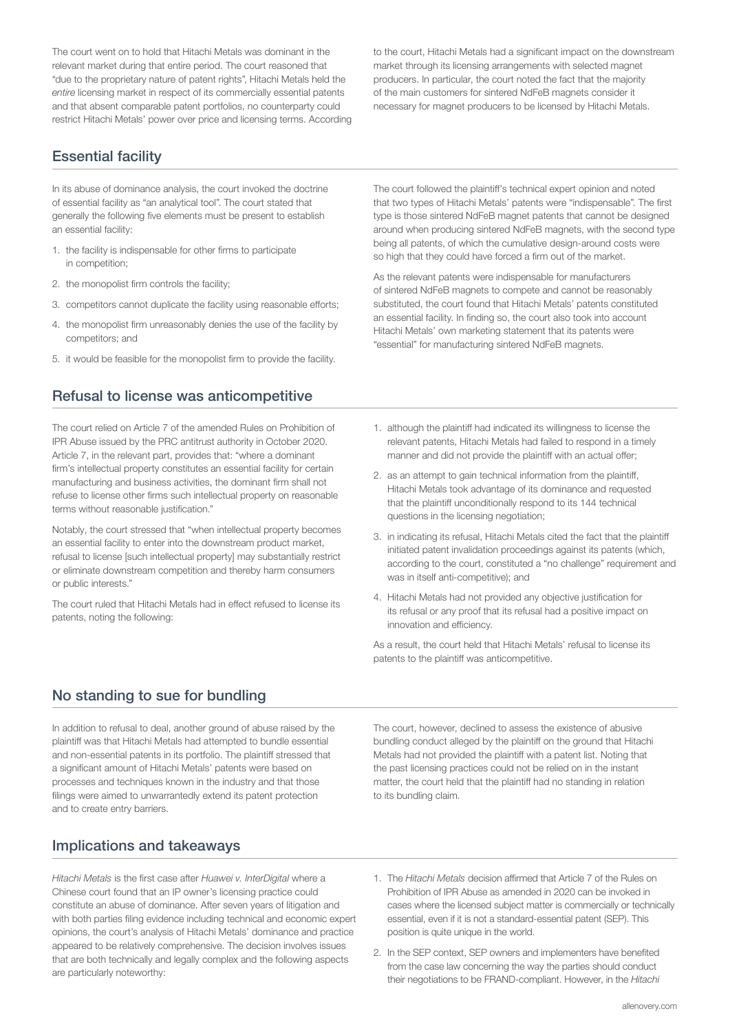The court went on to hold that Hitachi Metals was dominant in the relevant market during that entire period. The court reasoned that "due to the proprietary nature of patent rights", Hitachi Metals held the *entire* licensing market in respect of its commercially essential patents and that absent comparable patent portfolios, no counterparty could restrict Hitachi Metals' power over price and licensing terms. According

Essential facility

In its abuse of dominance analysis, the court invoked the doctrine of essential facility as "an analytical tool". The court stated that generally the following five elements must be present to establish an essential facility:

- 1. the facility is indispensable for other firms to participate in competition;
- 2. the monopolist firm controls the facility;
- 3. competitors cannot duplicate the facility using reasonable efforts;
- 4. the monopolist firm unreasonably denies the use of the facility by competitors; and
- 5. it would be feasible for the monopolist firm to provide the facility.

#### Refusal to license was anticompetitive

The court relied on Article 7 of the amended Rules on Prohibition of IPR Abuse issued by the PRC antitrust authority in October 2020. Article 7, in the relevant part, provides that: "where a dominant firm's intellectual property constitutes an essential facility for certain manufacturing and business activities, the dominant firm shall not refuse to license other firms such intellectual property on reasonable terms without reasonable justification."

Notably, the court stressed that "when intellectual property becomes an essential facility to enter into the downstream product market, refusal to license [such intellectual property] may substantially restrict or eliminate downstream competition and thereby harm consumers or public interests."

The court ruled that Hitachi Metals had in effect refused to license its patents, noting the following:

The court followed the plaintiff's technical expert opinion and noted that two types of Hitachi Metals' patents were "indispensable". The first type is those sintered NdFeB magnet patents that cannot be designed around when producing sintered NdFeB magnets, with the second type being all patents, of which the cumulative design-around costs were so high that they could have forced a firm out of the market.

As the relevant patents were indispensable for manufacturers of sintered NdFeB magnets to compete and cannot be reasonably substituted, the court found that Hitachi Metals' patents constituted an essential facility. In finding so, the court also took into account Hitachi Metals' own marketing statement that its patents were "essential" for manufacturing sintered NdFeB magnets.

- 1. although the plaintiff had indicated its willingness to license the relevant patents, Hitachi Metals had failed to respond in a timely manner and did not provide the plaintiff with an actual offer;
- 2. as an attempt to gain technical information from the plaintiff, Hitachi Metals took advantage of its dominance and requested that the plaintiff unconditionally respond to its 144 technical questions in the licensing negotiation;
- 3. in indicating its refusal, Hitachi Metals cited the fact that the plaintiff initiated patent invalidation proceedings against its patents (which, according to the court, constituted a "no challenge" requirement and was in itself anti-competitive); and
- 4. Hitachi Metals had not provided any objective justification for its refusal or any proof that its refusal had a positive impact on innovation and efficiency.

As a result, the court held that Hitachi Metals' refusal to license its patents to the plaintiff was anticompetitive.

#### No standing to sue for bundling

In addition to refusal to deal, another ground of abuse raised by the plaintiff was that Hitachi Metals had attempted to bundle essential and non-essential patents in its portfolio. The plaintiff stressed that a significant amount of Hitachi Metals' patents were based on processes and techniques known in the industry and that those filings were aimed to unwarrantedly extend its patent protection and to create entry barriers.

The court, however, declined to assess the existence of abusive bundling conduct alleged by the plaintiff on the ground that Hitachi Metals had not provided the plaintiff with a patent list. Noting that the past licensing practices could not be relied on in the instant matter, the court held that the plaintiff had no standing in relation to its bundling claim.

#### Implications and takeaways

*Hitachi Metals* is the first case after *Huawei v. InterDigital* where a Chinese court found that an IP owner's licensing practice could constitute an abuse of dominance. After seven years of litigation and with both parties filing evidence including technical and economic expert opinions, the court's analysis of Hitachi Metals' dominance and practice appeared to be relatively comprehensive. The decision involves issues that are both technically and legally complex and the following aspects are particularly noteworthy:

- 1. The *Hitachi Metals* decision affirmed that Article 7 of the Rules on Prohibition of IPR Abuse as amended in 2020 can be invoked in cases where the licensed subject matter is commercially or technically essential, even if it is not a standard-essential patent (SEP). This position is quite unique in the world.
- 2. In the SEP context, SEP owners and implementers have benefited from the case law concerning the way the parties should conduct their negotiations to be FRAND-compliant. However, in the *Hitachi*

to the court, Hitachi Metals had a significant impact on the downstream market through its licensing arrangements with selected magnet producers. In particular, the court noted the fact that the majority of the main customers for sintered NdFeB magnets consider it necessary for magnet producers to be licensed by Hitachi Metals.